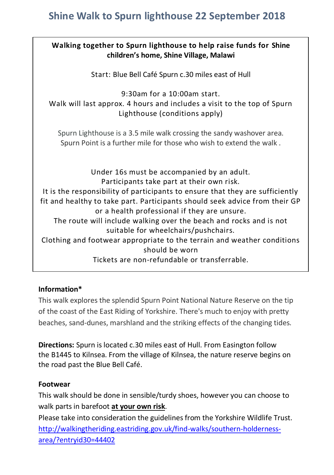# **Shine Walk to Spurn lighthouse 22 September 2018**

| Walking together to Spurn lighthouse to help raise funds for Shine<br>children's home, Shine Village, Malawi                                                                                                                                                                                                                                                                                                                                                                                                                                                       |
|--------------------------------------------------------------------------------------------------------------------------------------------------------------------------------------------------------------------------------------------------------------------------------------------------------------------------------------------------------------------------------------------------------------------------------------------------------------------------------------------------------------------------------------------------------------------|
| Start: Blue Bell Café Spurn c.30 miles east of Hull                                                                                                                                                                                                                                                                                                                                                                                                                                                                                                                |
| $9:30$ am for a $10:00$ am start.<br>Walk will last approx. 4 hours and includes a visit to the top of Spurn<br>Lighthouse (conditions apply)                                                                                                                                                                                                                                                                                                                                                                                                                      |
| Spurn Lighthouse is a 3.5 mile walk crossing the sandy washover area.<br>Spurn Point is a further mile for those who wish to extend the walk.                                                                                                                                                                                                                                                                                                                                                                                                                      |
| Under 16s must be accompanied by an adult.<br>Participants take part at their own risk.<br>It is the responsibility of participants to ensure that they are sufficiently<br>fit and healthy to take part. Participants should seek advice from their GP<br>or a health professional if they are unsure.<br>The route will include walking over the beach and rocks and is not<br>suitable for wheelchairs/pushchairs.<br>Clothing and footwear appropriate to the terrain and weather conditions<br>should be worn<br>Tickets are non-refundable or transferrable. |

## **Information\***

This walk explores the splendid Spurn Point National Nature Reserve on the tip of the coast of the East Riding of Yorkshire. There's much to enjoy with pretty beaches, sand-dunes, marshland and the striking effects of the changing tides.

**Directions:** Spurn is located c.30 miles east of Hull. From Easington follow the B1445 to Kilnsea. From the village of Kilnsea, the nature reserve begins on the road past the Blue Bell Café.

## **Footwear**

This walk should be done in sensible/turdy shoes, however you can choose to walk parts in barefoot **at your own risk**.

Please take into consideration the guidelines from the Yorkshire Wildlife Trust. [http://walkingtheriding.eastriding.gov.uk/find-walks/southern-holderness](http://walkingtheriding.eastriding.gov.uk/find-walks/southern-holderness-area/?entryid30=44402)[area/?entryid30=44402](http://walkingtheriding.eastriding.gov.uk/find-walks/southern-holderness-area/?entryid30=44402)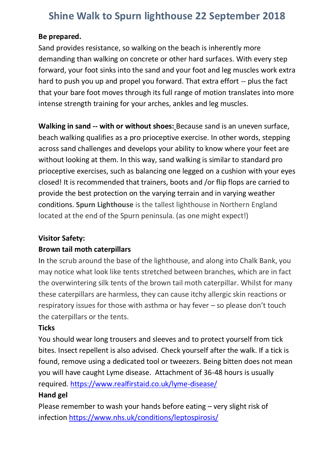# **Shine Walk to Spurn lighthouse 22 September 2018**

#### **Be prepared.**

Sand provides resistance, so walking on the beach is inherently more demanding than walking on concrete or other hard surfaces. With every step forward, your foot sinks into the sand and your foot and leg muscles work extra hard to push you up and propel you forward. That extra effort -- plus the fact that your bare foot moves through its full range of motion translates into more intense strength training for your arches, ankles and leg muscles.

**Walking in sand -- with or without shoes:** Because sand is an uneven surface, beach walking qualifies as a pro prioceptive exercise. In other words, stepping across sand challenges and develops your ability to know where your feet are without looking at them. In this way, sand walking is similar to standard pro prioceptive exercises, such as balancing one legged on a cushion with your eyes closed! It is recommended that trainers, boots and /or flip flops are carried to provide the best protection on the varying terrain and in varying weather conditions. **Spurn Lighthouse** is the tallest lighthouse in Northern England located at the end of the Spurn peninsula. (as one might expect!)

#### **Visitor Safety:**

## **Brown tail moth caterpillars**

In the scrub around the base of the lighthouse, and along into Chalk Bank, you may notice what look like tents stretched between branches, which are in fact the overwintering silk tents of the brown tail moth caterpillar. Whilst for many these caterpillars are harmless, they can cause itchy allergic skin reactions or respiratory issues for those with asthma or hay fever – so please don't touch the caterpillars or the tents.

## **Ticks**

You should wear long trousers and sleeves and to protect yourself from tick bites. Insect repellent is also advised. Check yourself after the walk. If a tick is found, remove using a dedicated tool or tweezers. Being bitten does not mean you will have caught Lyme disease. Attachment of 36-48 hours is usually required. <https://www.realfirstaid.co.uk/lyme-disease/>

## **Hand gel**

Please remember to wash your hands before eating – very slight risk of infectio[n https://www.nhs.uk/conditions/leptospirosis/](https://www.nhs.uk/conditions/leptospirosis/)